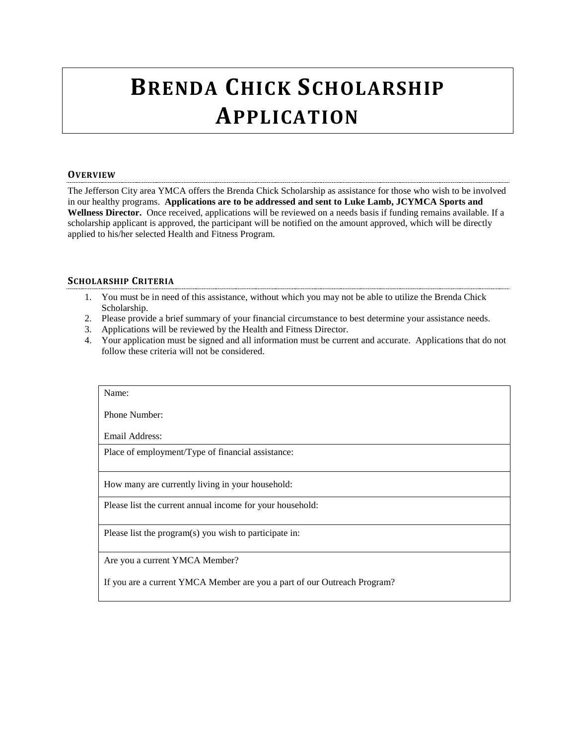## **BRENDA CHICK SCHOLARSHIP APPLICATION**

## **OVERVIEW**

The Jefferson City area YMCA offers the Brenda Chick Scholarship as assistance for those who wish to be involved in our healthy programs. **Applications are to be addressed and sent to Luke Lamb, JCYMCA Sports and Wellness Director.** Once received, applications will be reviewed on a needs basis if funding remains available. If a scholarship applicant is approved, the participant will be notified on the amount approved, which will be directly applied to his/her selected Health and Fitness Program.

## **SCHOLARSHIP CRITERIA**

- 1. You must be in need of this assistance, without which you may not be able to utilize the Brenda Chick Scholarship.
- 2. Please provide a brief summary of your financial circumstance to best determine your assistance needs.
- 3. Applications will be reviewed by the Health and Fitness Director.
- 4. Your application must be signed and all information must be current and accurate. Applications that do not follow these criteria will not be considered.